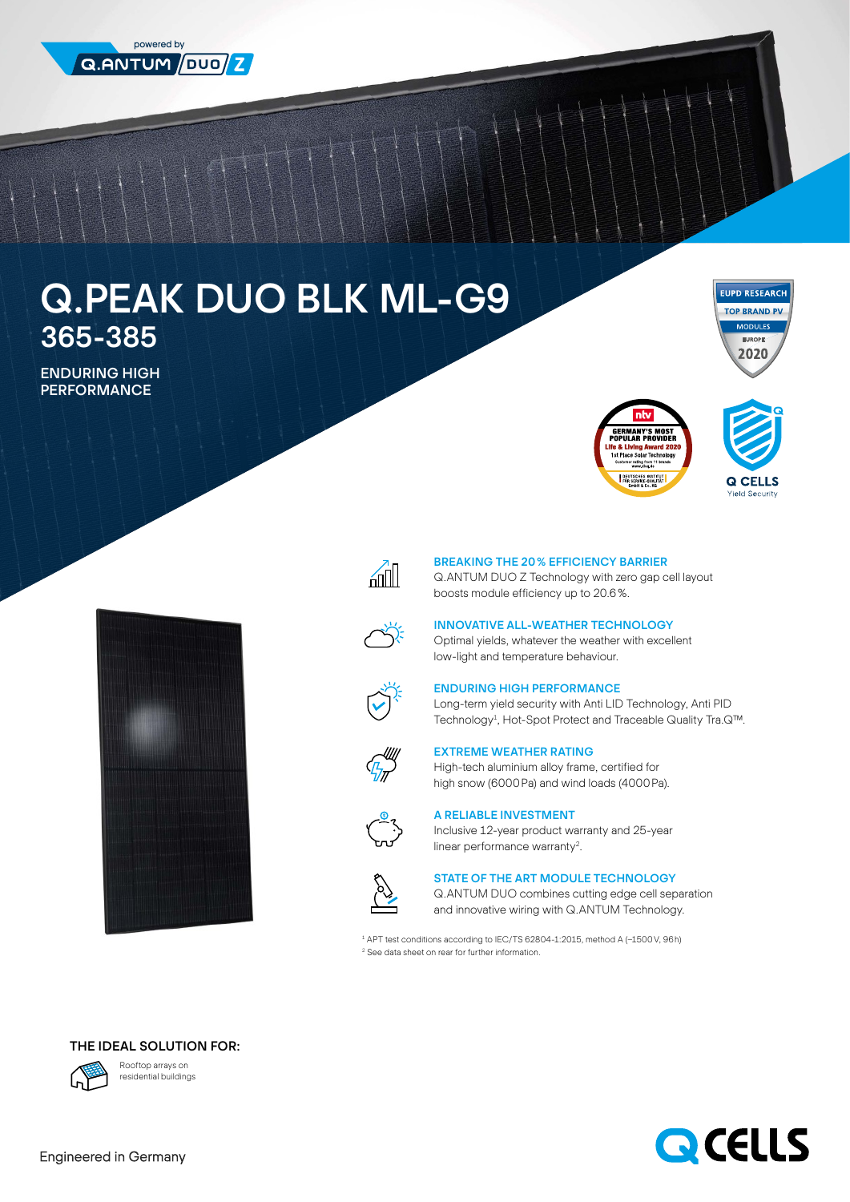

# Q.PEAK DUO BLK ML-G9 365-385

ENDURING HIGH **PERFORMANCE** 











#### BREAKING THE 20% EFFICIENCY BARRIER

Q.ANTUM DUO Z Technology with zero gap cell layout boosts module efficiency up to 20.6%.



## INNOVATIVE ALL-WEATHER TECHNOLOGY

Optimal yields, whatever the weather with excellent low-light and temperature behaviour.



### ENDURING HIGH PERFORMANCE

Long-term yield security with Anti LID Technology, Anti PID Technology<sup>1</sup>, Hot-Spot Protect and Traceable Quality Tra.Q™.



### EXTREME WEATHER RATING

High-tech aluminium alloy frame, certified for high snow (6000Pa) and wind loads (4000Pa).



## A RELIABLE INVESTMENT

Inclusive 12-year product warranty and 25-year linear performance warranty<sup>2</sup>.



#### STATE OF THE ART MODULE TECHNOLOGY

Q.ANTUM DUO combines cutting edge cell separation and innovative wiring with Q.ANTUM Technology.

1 APT test conditions according to IEC/TS 62804-1:2015, method A (−1500V, 96h) 2 See data sheet on rear for further information.

## THE IDEAL SOLUTION FOR:



Rooftop arrays on residential buildings